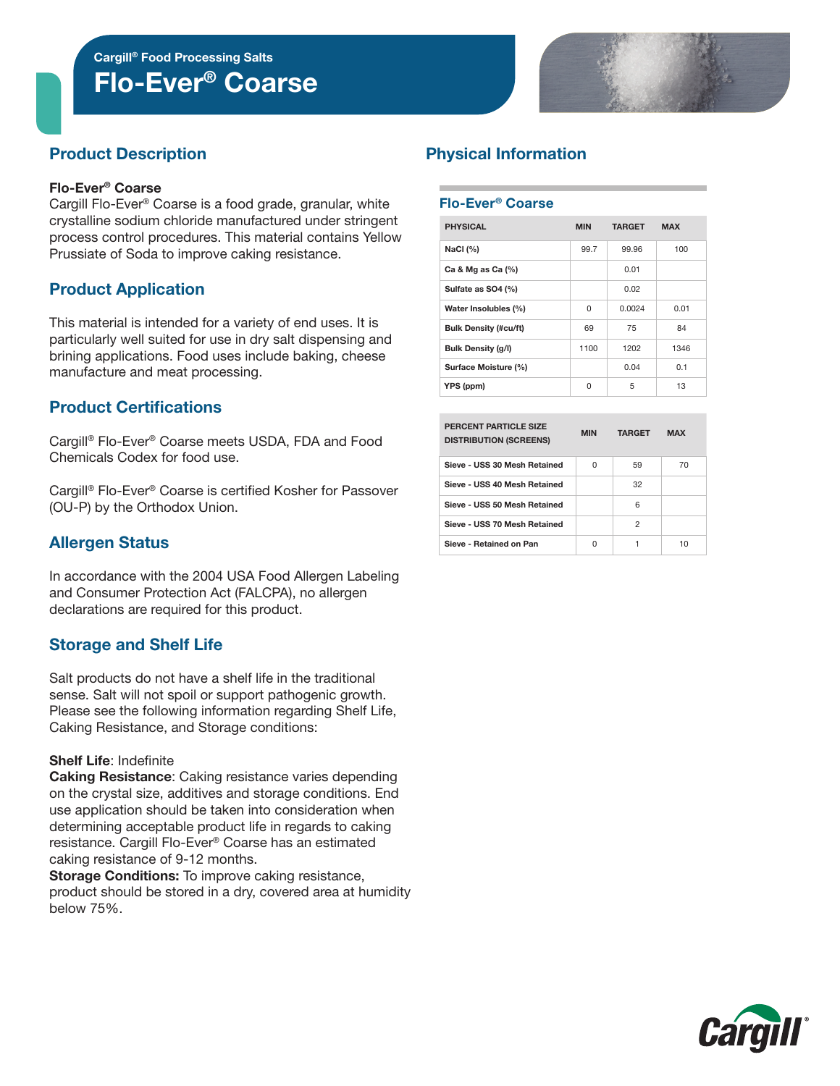Flo-Ever® Coarse Cargill® Food Processing Salts



# Product Description

#### Flo-Ever® Coarse

Cargill Flo-Ever® Coarse is a food grade, granular, white crystalline sodium chloride manufactured under stringent process control procedures. This material contains Yellow Prussiate of Soda to improve caking resistance.

## Product Application

This material is intended for a variety of end uses. It is particularly well suited for use in dry salt dispensing and brining applications. Food uses include baking, cheese manufacture and meat processing.

## Product Certifications

Cargill® Flo-Ever® Coarse meets USDA, FDA and Food Chemicals Codex for food use.

Cargill® Flo-Ever® Coarse is certified Kosher for Passover (OU-P) by the Orthodox Union.

## Allergen Status

In accordance with the 2004 USA Food Allergen Labeling and Consumer Protection Act (FALCPA), no allergen declarations are required for this product.

## Storage and Shelf Life

Salt products do not have a shelf life in the traditional sense. Salt will not spoil or support pathogenic growth. Please see the following information regarding Shelf Life, Caking Resistance, and Storage conditions:

#### Shelf Life: Indefinite

Caking Resistance: Caking resistance varies depending on the crystal size, additives and storage conditions. End use application should be taken into consideration when determining acceptable product life in regards to caking resistance. Cargill Flo-Ever® Coarse has an estimated caking resistance of 9-12 months.

Storage Conditions: To improve caking resistance, product should be stored in a dry, covered area at humidity below 75%.

# Physical Information

#### Flo-Ever® Coarse

| <b>PHYSICAL</b>              | <b>MIN</b> | <b>TARGET</b> | <b>MAX</b> |  |
|------------------------------|------------|---------------|------------|--|
| NaCl $(%)$                   | 99.7       | 99.96         | 100        |  |
| Ca & Mg as Ca $(%)$          |            | 0.01          |            |  |
| Sulfate as SO4 (%)           |            | 0.02          |            |  |
| Water Insolubles (%)         | 0          | 0.0024        | 0.01       |  |
| <b>Bulk Density (#cu/ft)</b> | 69         | 75            | 84         |  |
| <b>Bulk Density (g/l)</b>    | 1100       | 1202          | 1346       |  |
| Surface Moisture (%)         |            | 0.04          | 0.1        |  |
| YPS (ppm)                    | U          | 5             | 13         |  |

| PERCENT PARTICLE SIZE<br><b>DISTRIBUTION (SCREENS)</b> | <b>MIN</b> | <b>TARGET</b> | <b>MAX</b> |
|--------------------------------------------------------|------------|---------------|------------|
| Sieve - USS 30 Mesh Retained                           | U          | 59            | 70         |
| Sieve - USS 40 Mesh Retained                           |            | 32            |            |
| Sieve - USS 50 Mesh Retained                           |            | 6             |            |
| Sieve - USS 70 Mesh Retained                           |            | 2             |            |
| Sieve - Retained on Pan                                | U          |               | 10         |